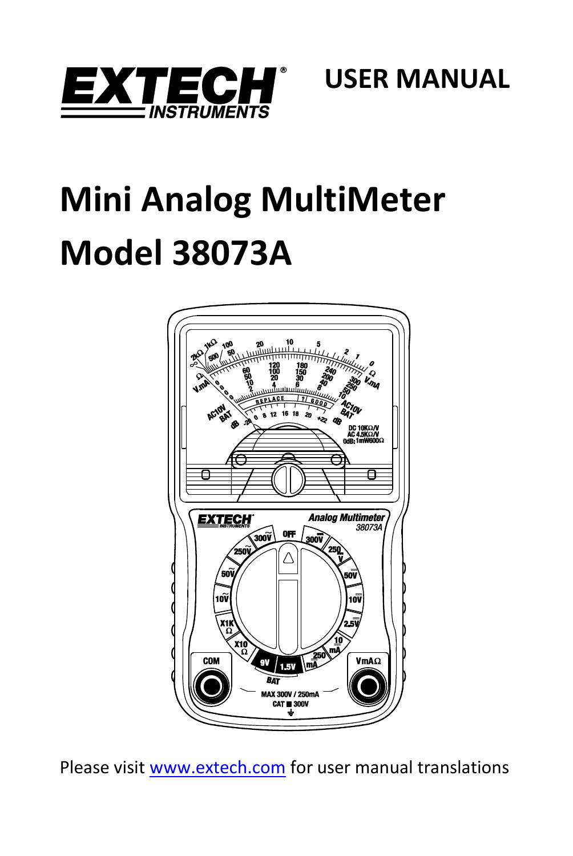

 **USER MANUAL**

# **Mini Analog MultiMeter Model 38073A**



Please visi[t www.extech.com](http://www.extech.com/) for user manual translations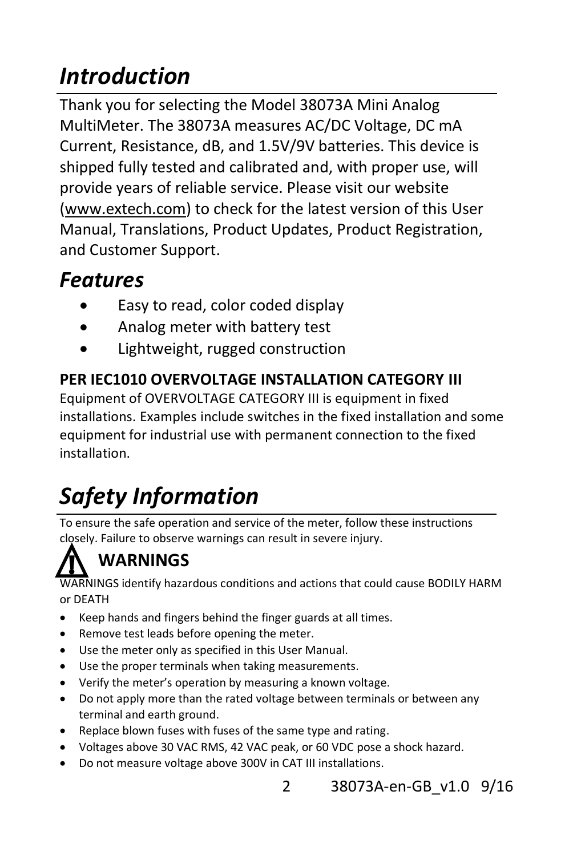# *Introduction*

Thank you for selecting the Model 38073A Mini Analog MultiMeter. The 38073A measures AC/DC Voltage, DC mA Current, Resistance, dB, and 1.5V/9V batteries. This device is shipped fully tested and calibrated and, with proper use, will provide years of reliable service. Please visit our website [\(www.extech.com\)](http://www.extech.com/) to check for the latest version of this User Manual, Translations, Product Updates, Product Registration, and Customer Support.

## *Features*

- Easy to read, color coded display
- Analog meter with battery test
- Lightweight, rugged construction

#### **PER IEC1010 OVERVOLTAGE INSTALLATION CATEGORY III**

Equipment of OVERVOLTAGE CATEGORY III is equipment in fixed installations. Examples include switches in the fixed installation and some equipment for industrial use with permanent connection to the fixed installation.

# *Safety Information*

To ensure the safe operation and service of the meter, follow these instructions closely. Failure to observe warnings can result in severe injury.

## **WARNINGS**

WARNINGS identify hazardous conditions and actions that could cause BODILY HARM or DEATH

- Keep hands and fingers behind the finger guards at all times.
- Remove test leads before opening the meter.
- Use the meter only as specified in this User Manual.
- Use the proper terminals when taking measurements.
- Verify the meter's operation by measuring a known voltage.
- Do not apply more than the rated voltage between terminals or between any terminal and earth ground.
- Replace blown fuses with fuses of the same type and rating.
- Voltages above 30 VAC RMS, 42 VAC peak, or 60 VDC pose a shock hazard.
- Do not measure voltage above 300V in CAT III installations.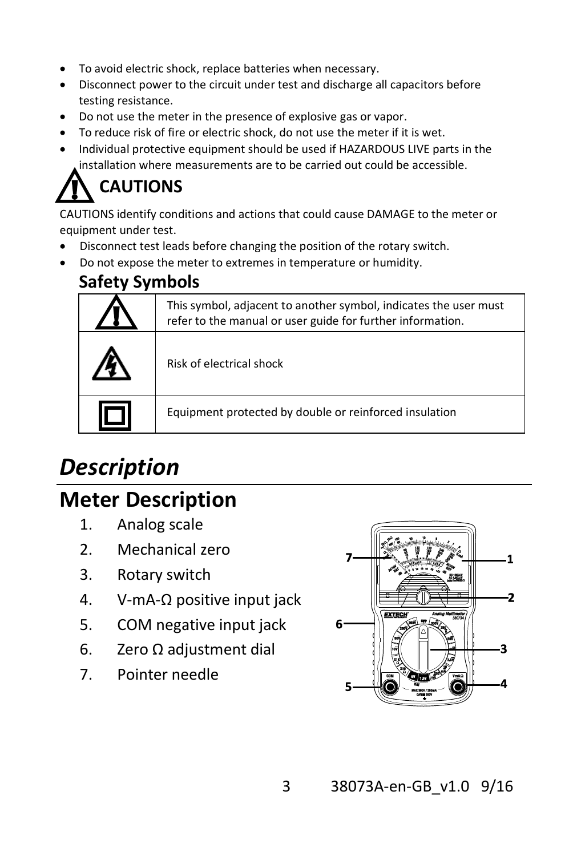- To avoid electric shock, replace batteries when necessary.
- Disconnect power to the circuit under test and discharge all capacitors before testing resistance.
- Do not use the meter in the presence of explosive gas or vapor.
- To reduce risk of fire or electric shock, do not use the meter if it is wet.
- Individual protective equipment should be used if HAZARDOUS LIVE parts in the installation where measurements are to be carried out could be accessible.

## **CAUTIONS**

CAUTIONS identify conditions and actions that could cause DAMAGE to the meter or equipment under test.

- Disconnect test leads before changing the position of the rotary switch.
- Do not expose the meter to extremes in temperature or humidity.

#### **Safety Symbols**

| This symbol, adjacent to another symbol, indicates the user must<br>refer to the manual or user guide for further information. |
|--------------------------------------------------------------------------------------------------------------------------------|
| Risk of electrical shock                                                                                                       |
| Equipment protected by double or reinforced insulation                                                                         |

## *Description*

### **Meter Description**

- 1. Analog scale
- 2. Mechanical zero
- 3. Rotary switch
- 4. V-mA-Ω positive input jack
- 5. COM negative input jack
- 6. Zero Ω adjustment dial
- 7. Pointer needle

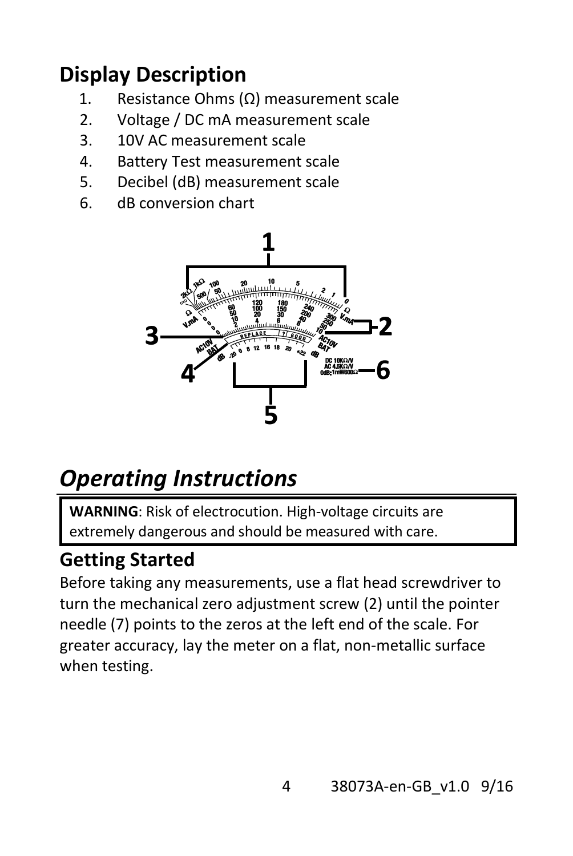## **Display Description**

- 1. Resistance Ohms (Ω) measurement scale
- 2. Voltage / DC mA measurement scale
- 3. 10V AC measurement scale
- 4. Battery Test measurement scale
- 5. Decibel (dB) measurement scale
- 6. dB conversion chart



# *Operating Instructions*

**WARNING**: Risk of electrocution. High-voltage circuits are extremely dangerous and should be measured with care.

### **Getting Started**

Before taking any measurements, use a flat head screwdriver to turn the mechanical zero adjustment screw (2) until the pointer needle (7) points to the zeros at the left end of the scale. For greater accuracy, lay the meter on a flat, non-metallic surface when testing.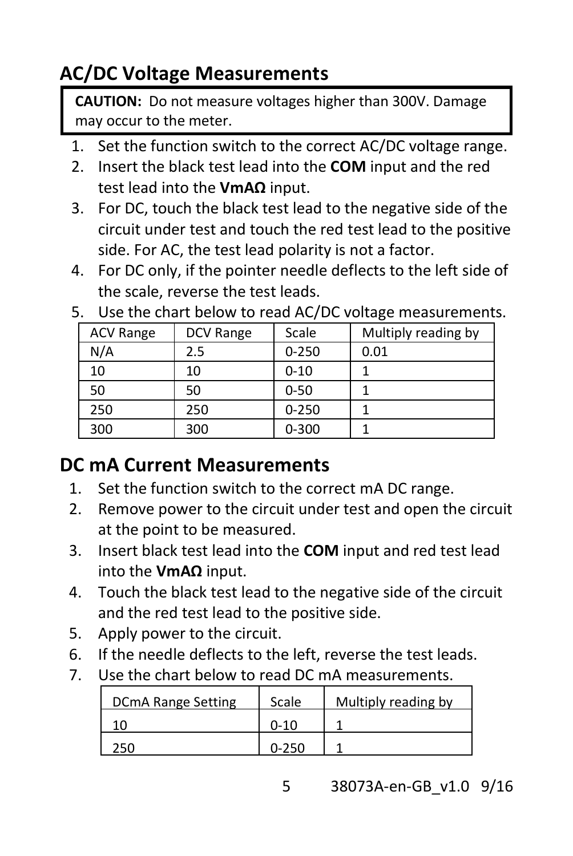### **AC/DC Voltage Measurements**

**CAUTION:** Do not measure voltages higher than 300V. Damage may occur to the meter.

- 1. Set the function switch to the correct AC/DC voltage range.
- 2. Insert the black test lead into the **COM** input and the red test lead into the **VmAΩ** input.
- 3. For DC, touch the black test lead to the negative side of the circuit under test and touch the red test lead to the positive side. For AC, the test lead polarity is not a factor.
- 4. For DC only, if the pointer needle deflects to the left side of the scale, reverse the test leads.

| <b>ACV Range</b> | DCV Range | Scale     | Multiply reading by |
|------------------|-----------|-----------|---------------------|
| N/A              | 2.5       | $0 - 250$ | 0.01                |
| 10               | 10        | $0 - 10$  |                     |
| 50               | 50        | $0 - 50$  |                     |
| 250              | 250       | $0 - 250$ |                     |
| 300              | 300       | $0 - 300$ |                     |

5. Use the chart below to read AC/DC voltage measurements.

#### **DC mA Current Measurements**

- 1. Set the function switch to the correct mA DC range.
- 2. Remove power to the circuit under test and open the circuit at the point to be measured.
- 3. Insert black test lead into the **COM** input and red test lead into the **VmAΩ** input.
- 4. Touch the black test lead to the negative side of the circuit and the red test lead to the positive side.
- 5. Apply power to the circuit.
- 6. If the needle deflects to the left, reverse the test leads.
- 7. Use the chart below to read DC mA measurements.

| <b>DCmA Range Setting</b> | Scale | Multiply reading by |
|---------------------------|-------|---------------------|
|                           |       |                     |
|                           |       |                     |

5 38073A-en-GB\_v1.0 9/16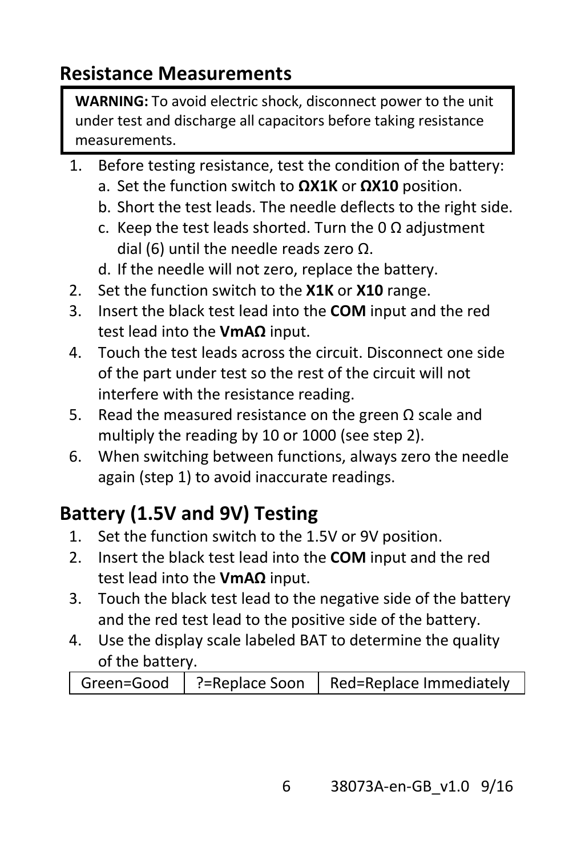#### **Resistance Measurements**

**WARNING:** To avoid electric shock, disconnect power to the unit under test and discharge all capacitors before taking resistance measurements.

- 1. Before testing resistance, test the condition of the battery:
	- a. Set the function switch to **ΩX1K** or **ΩX10** position.
	- b. Short the test leads. The needle deflects to the right side.
	- c. Keep the test leads shorted. Turn the 0 Ω adjustment dial (6) until the needle reads zero Ω.
	- d. If the needle will not zero, replace the battery.
- 2. Set the function switch to the **X1K** or **X10** range.
- 3. Insert the black test lead into the **COM** input and the red test lead into the **VmAΩ** input.
- 4. Touch the test leads across the circuit. Disconnect one side of the part under test so the rest of the circuit will not interfere with the resistance reading.
- 5. Read the measured resistance on the green Ω scale and multiply the reading by 10 or 1000 (see step 2).
- 6. When switching between functions, always zero the needle again (step 1) to avoid inaccurate readings.

## **Battery (1.5V and 9V) Testing**

- 1. Set the function switch to the 1.5V or 9V position.
- 2. Insert the black test lead into the **COM** input and the red test lead into the **VmAΩ** input.
- 3. Touch the black test lead to the negative side of the battery and the red test lead to the positive side of the battery.
- 4. Use the display scale labeled BAT to determine the quality of the battery.

|  | Green=Good   ?=Replace Soon   Red=Replace Immediately |
|--|-------------------------------------------------------|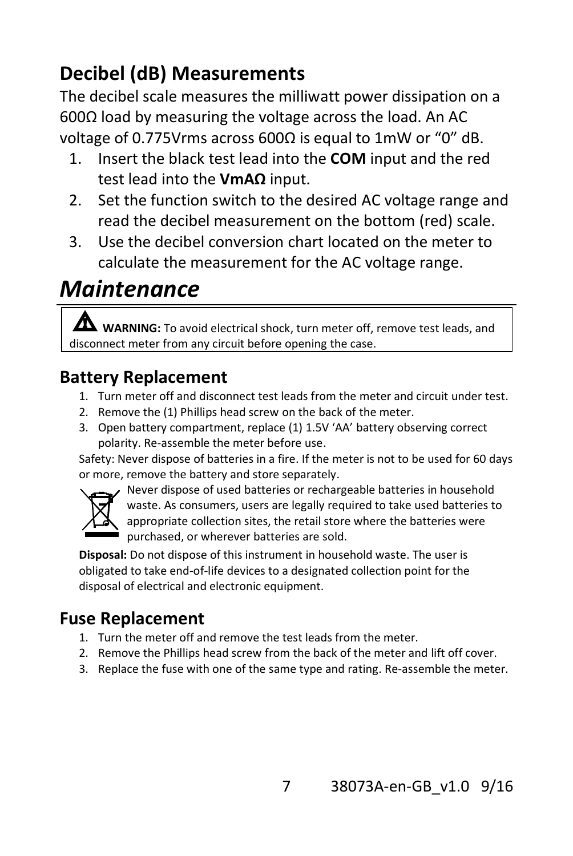### **Decibel (dB) Measurements**

The decibel scale measures the milliwatt power dissipation on a 600Ω load by measuring the voltage across the load. An AC voltage of 0.775Vrms across 600Ω is equal to 1mW or "0" dB.

- 1. Insert the black test lead into the **COM** input and the red test lead into the **VmAΩ** input.
- 2. Set the function switch to the desired AC voltage range and read the decibel measurement on the bottom (red) scale.
- 3. Use the decibel conversion chart located on the meter to calculate the measurement for the AC voltage range.

## *Maintenance*

**A** wARNING: To avoid electrical shock, turn meter off, remove test leads, and disconnect meter from any circuit before opening the case.

#### **Battery Replacement**

- 1. Turn meter off and disconnect test leads from the meter and circuit under test.
- 2. Remove the (1) Phillips head screw on the back of the meter.
- 3. Open battery compartment, replace (1) 1.5V 'AA' battery observing correct polarity. Re-assemble the meter before use.

Safety: Never dispose of batteries in a fire. If the meter is not to be used for 60 days or more, remove the battery and store separately.



Never dispose of used batteries or rechargeable batteries in household waste. As consumers, users are legally required to take used batteries to appropriate collection sites, the retail store where the batteries were purchased, or wherever batteries are sold.

**Disposal:** Do not dispose of this instrument in household waste. The user is obligated to take end-of-life devices to a designated collection point for the disposal of electrical and electronic equipment.

#### **Fuse Replacement**

- 1. Turn the meter off and remove the test leads from the meter.
- 2. Remove the Phillips head screw from the back of the meter and lift off cover.
- 3. Replace the fuse with one of the same type and rating. Re-assemble the meter.